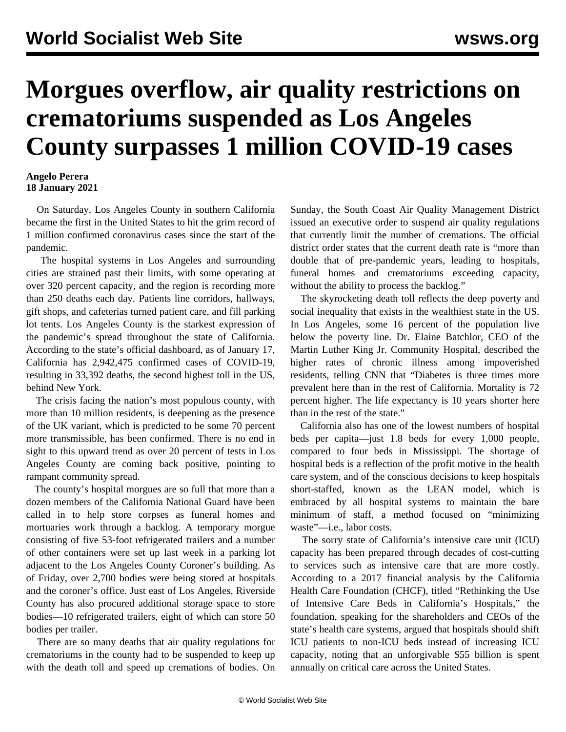## **Morgues overflow, air quality restrictions on crematoriums suspended as Los Angeles County surpasses 1 million COVID-19 cases**

## **Angelo Perera 18 January 2021**

 On Saturday, Los Angeles County in southern California became the first in the United States to hit the grim record of 1 million confirmed coronavirus cases since the start of the pandemic.

 The hospital systems in Los Angeles and surrounding cities are strained past their limits, with some operating at over 320 percent capacity, and the region is recording more than 250 deaths each day. Patients line corridors, hallways, gift shops, and cafeterias turned patient care, and fill parking lot tents. Los Angeles County is the starkest expression of the pandemic's spread throughout the state of California. According to the state's official dashboard, as of January 17, California has 2,942,475 confirmed cases of COVID-19, resulting in 33,392 deaths, the second highest toll in the US, behind New York.

 The crisis facing the nation's most populous county, with more than 10 million residents, is deepening as the presence of the UK variant, which is predicted to be some 70 percent more transmissible, has been confirmed. There is no end in sight to this upward trend as over 20 percent of tests in Los Angeles County are coming back positive, pointing to rampant community spread.

 The county's hospital morgues are so full that more than a dozen members of the California National Guard have been called in to help store corpses as funeral homes and mortuaries work through a backlog. A temporary morgue consisting of five 53-foot refrigerated trailers and a number of other containers were set up last week in a parking lot adjacent to the Los Angeles County Coroner's building. As of Friday, over 2,700 bodies were being stored at hospitals and the coroner's office. Just east of Los Angeles, Riverside County has also procured additional storage space to store bodies—10 refrigerated trailers, eight of which can store 50 bodies per trailer.

 There are so many deaths that air quality regulations for crematoriums in the county had to be suspended to keep up with the death toll and speed up cremations of bodies. On Sunday, the South Coast Air Quality Management District issued an executive order to suspend air quality regulations that currently limit the number of cremations. The official district order states that the current death rate is "more than double that of pre-pandemic years, leading to hospitals, funeral homes and crematoriums exceeding capacity, without the ability to process the backlog."

 The skyrocketing death toll reflects the deep poverty and social inequality that exists in the wealthiest state in the US. In Los Angeles, some 16 percent of the population live below the poverty line. Dr. Elaine Batchlor, CEO of the Martin Luther King Jr. Community Hospital, described the higher rates of chronic illness among impoverished residents, telling CNN that "Diabetes is three times more prevalent here than in the rest of California. Mortality is 72 percent higher. The life expectancy is 10 years shorter here than in the rest of the state."

 California also has one of the lowest numbers of hospital beds per capita—just 1.8 beds for every 1,000 people, compared to four beds in Mississippi. The shortage of hospital beds is a reflection of the profit motive in the health care system, and of the conscious decisions to keep hospitals short-staffed, known as the LEAN model, which is embraced by all hospital systems to maintain the bare minimum of staff, a method focused on "minimizing waste"—i.e., labor costs.

 The sorry state of California's intensive care unit (ICU) capacity has been prepared through decades of cost-cutting to services such as intensive care that are more costly. According to a 2017 [financial](https://www.chcf.org/wp-content/uploads/2017/12/PDF-RethinkingUseOfICUCareBedsInCA.pdf) [analysis by the California](https://www.chcf.org/wp-content/uploads/2017/12/PDF-RethinkingUseOfICUCareBedsInCA.pdf) [Health Care Foundation \(CHCF\), titled "Rethinking the Use](https://www.chcf.org/wp-content/uploads/2017/12/PDF-RethinkingUseOfICUCareBedsInCA.pdf) [of Intensive Care Beds in California's Hospitals," the](https://www.chcf.org/wp-content/uploads/2017/12/PDF-RethinkingUseOfICUCareBedsInCA.pdf) [foundation, speaking for the shareholders and CEOs of the](https://www.chcf.org/wp-content/uploads/2017/12/PDF-RethinkingUseOfICUCareBedsInCA.pdf) [state's health care systems, argued that hospitals should shift](https://www.chcf.org/wp-content/uploads/2017/12/PDF-RethinkingUseOfICUCareBedsInCA.pdf) [ICU patients to non-ICU beds instead of increasing ICU](https://www.chcf.org/wp-content/uploads/2017/12/PDF-RethinkingUseOfICUCareBedsInCA.pdf) [capacity, noting that an unforgivable \\$55 billion is spent](https://www.chcf.org/wp-content/uploads/2017/12/PDF-RethinkingUseOfICUCareBedsInCA.pdf) [annually on critical care across the United States.](https://www.chcf.org/wp-content/uploads/2017/12/PDF-RethinkingUseOfICUCareBedsInCA.pdf)